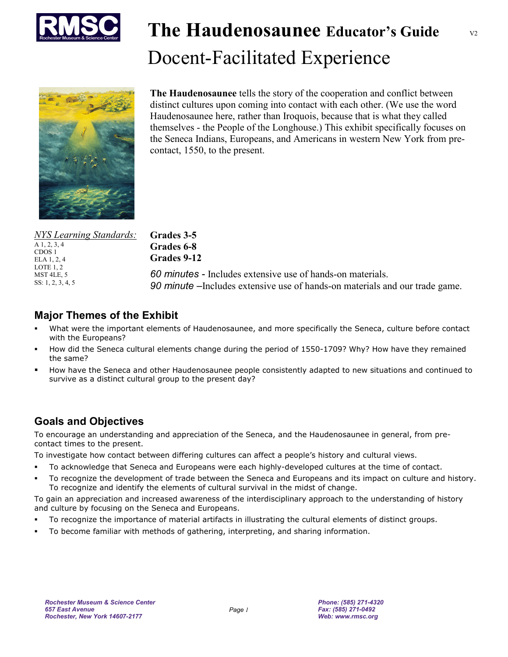

# **The Haudenosaunee Educator's Guide**  Docent-Facilitated Experience

V2



**The Haudenosaunee** tells the story of the cooperation and conflict between distinct cultures upon coming into contact with each other. (We use the word Haudenosaunee here, rather than Iroquois, because that is what they called themselves - the People of the Longhouse.) This exhibit specifically focuses on the Seneca Indians, Europeans, and Americans in western New York from precontact, 1550, to the present.

| <b>NYS Learning Standards:</b> |
|--------------------------------|
| $A$ 1, 2, 3, 4                 |
| CDOS <sub>1</sub>              |
| ELA 1, 2, 4                    |
| LOTE $1, 2$                    |
| MST 4LE, 5                     |
| SS: $1, 2, 3, 4, 5$            |
|                                |

**Grades 6-8 Grades 9-12**  *60 minutes -* Includes extensive use of hands-on materials. *90 minute –*Includes extensive use of hands-on materials and our trade game.

#### **Major Themes of the Exhibit**

**Grades 3-5** 

- What were the important elements of Haudenosaunee, and more specifically the Seneca, culture before contact with the Europeans?
- How did the Seneca cultural elements change during the period of 1550-1709? Why? How have they remained the same?
- How have the Seneca and other Haudenosaunee people consistently adapted to new situations and continued to survive as a distinct cultural group to the present day?

#### **Goals and Objectives**

To encourage an understanding and appreciation of the Seneca, and the Haudenosaunee in general, from precontact times to the present.

To investigate how contact between differing cultures can affect a people's history and cultural views.

- To acknowledge that Seneca and Europeans were each highly-developed cultures at the time of contact.
- To recognize the development of trade between the Seneca and Europeans and its impact on culture and history. To recognize and identify the elements of cultural survival in the midst of change.

To gain an appreciation and increased awareness of the interdisciplinary approach to the understanding of history and culture by focusing on the Seneca and Europeans.

- To recognize the importance of material artifacts in illustrating the cultural elements of distinct groups.
- To become familiar with methods of gathering, interpreting, and sharing information.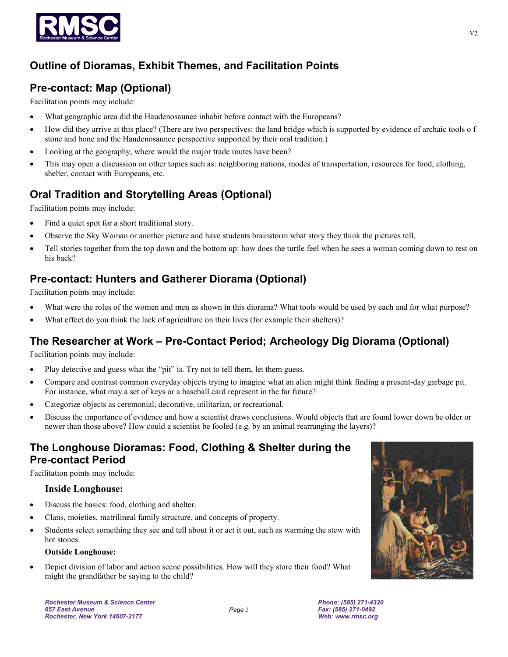

### **Outline of Dioramas, Exhibit Themes, and Facilitation Points**

## **Pre-contact: Map (Optional)**

Facilitation points may include:

- What geographic area did the Haudenosaunee inhabit before contact with the Europeans?
- How did they arrive at this place? (There are two perspectives: the land bridge which is supported by evidence of archaic tools o f stone and bone and the Haudenosaunee perspective supported by their oral tradition.)
- Looking at the geography, where would the major trade routes have been?
- This may open a discussion on other topics such as: neighboring nations, modes of transportation, resources for food, clothing, shelter, contact with Europeans, etc.

# **Oral Tradition and Storytelling Areas (Optional)**

Facilitation points may include:

- Find a quiet spot for a short traditional story.
- Observe the Sky Woman or another picture and have students brainstorm what story they think the pictures tell.
- Tell stories together from the top down and the bottom up: how does the turtle feel when he sees a woman coming down to rest on his back?

#### **Pre-contact: Hunters and Gatherer Diorama (Optional)**

Facilitation points may include:

- What were the roles of the women and men as shown in this diorama? What tools would be used by each and for what purpose?
- What effect do you think the lack of agriculture on their lives (for example their shelters)?

#### **The Researcher at Work – Pre-Contact Period; Archeology Dig Diorama (Optional)**

Facilitation points may include:

- Play detective and guess what the "pit" is. Try not to tell them, let them guess.
- Compare and contrast common everyday objects trying to imagine what an alien might think finding a present-day garbage pit. For instance, what may a set of keys or a baseball card represent in the far future?
- Categorize objects as ceremonial, decorative, utilitarian, or recreational.
- Discuss the importance of evidence and how a scientist draws conclusions. Would objects that are found lower down be older or newer than those above? How could a scientist be fooled (e.g. by an animal rearranging the layers)?

#### **The Longhouse Dioramas: Food, Clothing & Shelter during the Pre-contact Period**

Facilitation points may include:

#### **Inside Longhouse:**

- Discuss the basics: food, clothing and shelter.
- Clans, moieties, matrilineal family structure, and concepts of property.
- Students select something they see and tell about it or act it out, such as warming the stew with hot stones.

#### **Outside Longhouse:**

• Depict division of labor and action scene possibilities. How will they store their food? What might the grandfather be saying to the child?



*Rochester Museum & Science Center 657 East Avenue Rochester, New York 14607-2177*

*Phone: (585) 271-4320 Fax: (585) 271-0492 Web: www.rmsc.org*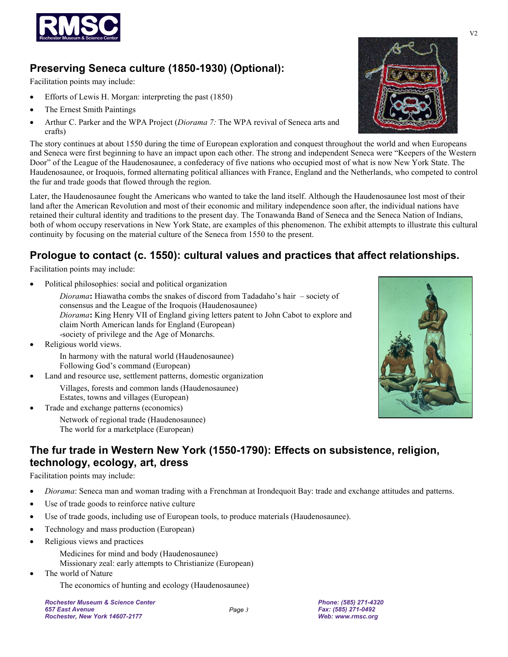

### **Preserving Seneca culture (1850-1930) (Optional):**

Facilitation points may include:

- Efforts of Lewis H. Morgan: interpreting the past (1850)
- The Ernest Smith Paintings
- Arthur C. Parker and the WPA Project (*Diorama 7:* The WPA revival of Seneca arts and crafts)

The story continues at about 1550 during the time of European exploration and conquest throughout the world and when Europeans and Seneca were first beginning to have an impact upon each other. The strong and independent Seneca were "Keepers of the Western Door" of the League of the Haudenosaunee, a confederacy of five nations who occupied most of what is now New York State. The Haudenosaunee, or Iroquois, formed alternating political alliances with France, England and the Netherlands, who competed to control the fur and trade goods that flowed through the region.

Later, the Haudenosaunee fought the Americans who wanted to take the land itself. Although the Haudenosaunee lost most of their land after the American Revolution and most of their economic and military independence soon after, the individual nations have retained their cultural identity and traditions to the present day. The Tonawanda Band of Seneca and the Seneca Nation of Indians, both of whom occupy reservations in New York State, are examples of this phenomenon. The exhibit attempts to illustrate this cultural continuity by focusing on the material culture of the Seneca from 1550 to the present.

### **Prologue to contact (c. 1550): cultural values and practices that affect relationships.**

Facilitation points may include:

• Political philosophies: social and political organization

*Diorama***:** Hiawatha combs the snakes of discord from Tadadaho's hair – society of consensus and the League of the Iroquois (Haudenosaunee) *Diorama***:** King Henry VII of England giving letters patent to John Cabot to explore and claim North American lands for England (European) -society of privilege and the Age of Monarchs.

Religious world views. In harmony with the natural world (Haudenosaunee)

Following God's command (European)

- Land and resource use, settlement patterns, domestic organization Villages, forests and common lands (Haudenosaunee) Estates, towns and villages (European)
- Trade and exchange patterns (economics)

Network of regional trade (Haudenosaunee) The world for a marketplace (European)



#### **The fur trade in Western New York (1550-1790): Effects on subsistence, religion, technology, ecology, art, dress**

Facilitation points may include:

- *Diorama*: Seneca man and woman trading with a Frenchman at Irondequoit Bay: trade and exchange attitudes and patterns.
- Use of trade goods to reinforce native culture
- Use of trade goods, including use of European tools, to produce materials (Haudenosaunee).
- Technology and mass production (European)
- Religious views and practices

Medicines for mind and body (Haudenosaunee) Missionary zeal: early attempts to Christianize (European)

The world of Nature

The economics of hunting and ecology (Haudenosaunee)

*Rochester Museum & Science Center 657 East Avenue Rochester, New York 14607-2177*

*Phone: (585) 271-4320 Fax: (585) 271-0492 Web: www.rmsc.org* 

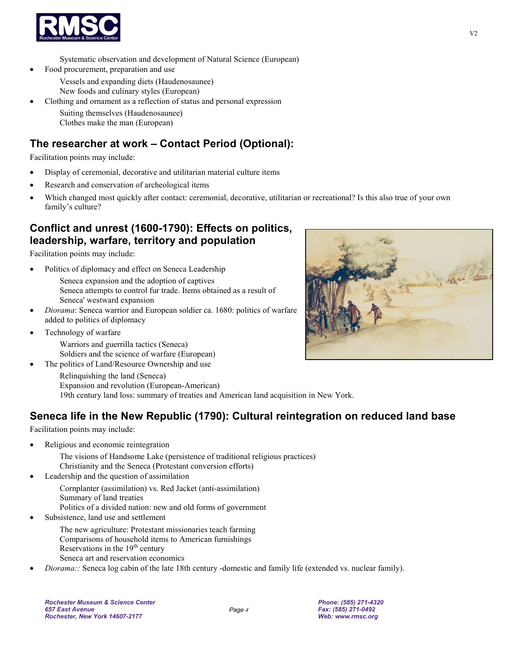

Systematic observation and development of Natural Science (European)

- Food procurement, preparation and use
	- Vessels and expanding diets (Haudenosaunee)
	- New foods and culinary styles (European)
	- Clothing and ornament as a reflection of status and personal expression
		- Suiting themselves (Haudenosaunee) Clothes make the man (European)

### **The researcher at work – Contact Period (Optional):**

Facilitation points may include:

- Display of ceremonial, decorative and utilitarian material culture items
- Research and conservation of archeological items
- Which changed most quickly after contact: ceremonial, decorative, utilitarian or recreational? Is this also true of your own family's culture?

#### **Conflict and unrest (1600-1790): Effects on politics, leadership, warfare, territory and population**

Facilitation points may include:

Politics of diplomacy and effect on Seneca Leadership

Seneca expansion and the adoption of captives Seneca attempts to control fur trade. Items obtained as a result of Seneca' westward expansion

- *Diorama*: Seneca warrior and European soldier ca. 1680: politics of warfare added to politics of diplomacy
- Technology of warfare

Warriors and guerrilla tactics (Seneca) Soldiers and the science of warfare (European)

The politics of Land/Resource Ownership and use



Relinquishing the land (Seneca) Expansion and revolution (European-American) 19th century land loss: summary of treaties and American land acquisition in New York.

# **Seneca life in the New Republic (1790): Cultural reintegration on reduced land base**

Facilitation points may include:

• Religious and economic reintegration

The visions of Handsome Lake (persistence of traditional religious practices) Christianity and the Seneca (Protestant conversion efforts)

• Leadership and the question of assimilation

Cornplanter (assimilation) vs. Red Jacket (anti-assimilation) Summary of land treaties Politics of a divided nation: new and old forms of government

Subsistence, land use and settlement

The new agriculture: Protestant missionaries teach farming Comparisons of household items to American furnishings Reservations in the  $19<sup>th</sup>$  century Seneca art and reservation economics

• *Diorama::* Seneca log cabin of the late 18th century -domestic and family life (extended vs. nuclear family).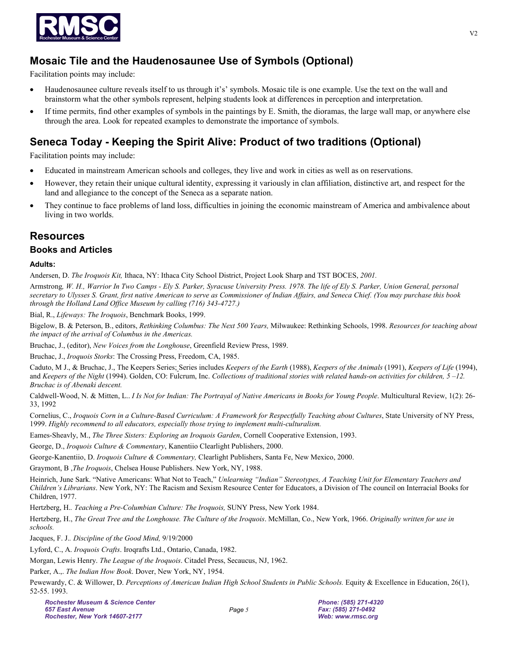

#### **Mosaic Tile and the Haudenosaunee Use of Symbols (Optional)**

Facilitation points may include:

- Haudenosaunee culture reveals itself to us through it's' symbols. Mosaic tile is one example. Use the text on the wall and brainstorm what the other symbols represent, helping students look at differences in perception and interpretation.
- If time permits, find other examples of symbols in the paintings by E. Smith, the dioramas, the large wall map, or anywhere else through the area. Look for repeated examples to demonstrate the importance of symbols.

#### **Seneca Today - Keeping the Spirit Alive: Product of two traditions (Optional)**

Facilitation points may include:

- Educated in mainstream American schools and colleges, they live and work in cities as well as on reservations.
- However, they retain their unique cultural identity, expressing it variously in clan affiliation, distinctive art, and respect for the land and allegiance to the concept of the Seneca as a separate nation.
- They continue to face problems of land loss, difficulties in joining the economic mainstream of America and ambivalence about living in two worlds.

#### **Resources**

#### **Books and Articles**

**Adults:** 

Andersen, D. *The Iroquois Kit,* Ithaca, NY: Ithaca City School District, Project Look Sharp and TST BOCES, *2001.* 

Armstrong*, W. H., Warrior In Two Camps - Ely S. Parker, Syracuse University Press. 1978. The life of Ely S. Parker, Union General, personal secretary to Ulysses S. Grant, first native American to serve as Commissioner of Indian Affairs, and Seneca Chief. (You may purchase this book through the Holland Land Office Museum by calling (716) 343-4727.)* 

Bial, R., *Lifeways: The Iroquois*, Benchmark Books, 1999.

Bigelow, B. & Peterson, B., editors, *Rethinking Columbus: The Next 500 Years,* Milwaukee: Rethinking Schools, 1998. *Resources for teaching about the impact of the arrival of Columbus in the Americas.* 

Bruchac, J., (editor), *New Voices from the Longhouse*, Greenfield Review Press, 1989.

Bruchac, J., *Iroquois Storks*: The Crossing Press, Freedom, CA, 1985.

Caduto, M J., & Bruchac, J., The Keepers Series; Series includes *Keepers of the Earth* (1988), *Keepers of the Animals* (1991), *Keepers of Life* (1994), and *Keepers of the Night* (1994). Golden, CO: Fulcrum, Inc. *Collections of traditional stories with related hands-on activities for children, 5 –12. Bruchac is of Abenaki descent.* 

Caldwell-Wood, N. & Mitten, L.. *I Is Not for Indian: The Portrayal of Native Americans in Books for Young People*. Multicultural Review, 1(2): 26- 33, 1992

Cornelius, C., *Iroquois Corn in a Culture-Based Curriculum: A Framework for Respectfully Teaching about Cultures*, State University of NY Press, 1999. *Highly recommend to all educators, especially those trying to implement multi-culturalism.* 

Eames-Sheavly, M., *The Three Sisters: Exploring an Iroquois Garden*, Cornell Cooperative Extension, 1993.

George, D., *Iroquois Culture & Commentary*, Kanentiio Clearlight Publishers, 2000.

George-Kanentiio, D. *Iroquois Culture & Commentary,* Clearlight Publishers, Santa Fe, New Mexico, 2000.

Graymont, B ,*The Iroquois*, Chelsea House Publishers. New York, NY, 1988.

Heinrich, June Sark. "Native Americans: What Not to Teach," *Unlearning "Indian" Stereotypes, A Teaching Unit for Elementary Teachers and Children's Librarians*. New York, NY: The Racism and Sexism Resource Center for Educators, a Division of The council on Interracial Books for Children, 1977.

Hertzberg, H.*. Teaching a Pre-Columbian Culture: The Iroquois,* SUNY Press, New York 1984.

Hertzberg, H., *The Great Tree and the Longhouse. The Culture of the Iroquois*. McMillan, Co., New York, 1966. *Originally written for use in schools.* 

Jacques, F. J.*. Discipline of the Good Mind,* 9/19/2000

Lyford, C., A. *Iroquois Crafts*. Iroqrafts Ltd., Ontario, Canada, 1982.

Morgan, Lewis Henry. *The League of the Iroquois*. Citadel Press, Secaucus, NJ, 1962.

Parker, A.,. *The Indian How Book*. Dover, New York, NY, 1954.

Pewewardy, C. & Willower, D. *Perceptions of American Indian High School Students in Public Schools.* Equity & Excellence in Education, 26(1), 52-55. 1993.

*Phone: (585) 271-4320 Fax: (585) 271-0492 Web: www.rmsc.org*